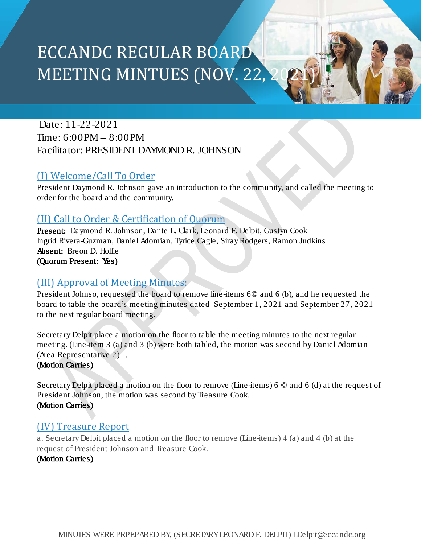# ECCANDC REGULAR BOARD MEETING MINTUES (NOV. 22, 2

Date: 11-22-2021 Time: 6:00PM – 8:00PM Facilitator: PRESIDENT DAYMOND R. JOHNSON

#### (I) Welcome/Call To Order

President Daymond R. Johnson gave an introduction to the community, and called the meeting to order for the board and the community.

#### (II) Call to Order & Certification of Quorum

Present: Daymond R. Johnson, Dante L. Clark, Leonard F. Delpit, Gustyn Cook Ingrid Rivera-Guzman, Daniel Adomian, Tyrice Cagle, SirayRodgers, Ramon Judkins Absent: Breon D. Hollie (Quorum Present: Yes)

#### (III) Approval of Meeting Minutes:

President Johnso, requested the board to remove line-items 6© and 6 (b), and he requested the board to table the board's meeting minutes dated September 1, 2021 and September 27, 2021 to the next regular board meeting.

Secretary Delpit place a motion on the floor to table the meeting minutes to the next regular meeting. (Line-item 3 (a) and 3 (b) were both tabled, the motion was second by Daniel Adomian (Area Representative 2) .

(Motion Carries)

Secretary Delpit placed a motion on the floor to remove (Line-items) 6 © and 6 (d) at the request of President Johnson, the motion was second by Treasure Cook. (Motion Carries)

#### (IV) Treasure Report

a. Secretary Delpit placed a motion on the floor to remove (Line-items) 4 (a) and 4 (b) at the request of President Johnson and Treasure Cook.

#### (Motion Carries)